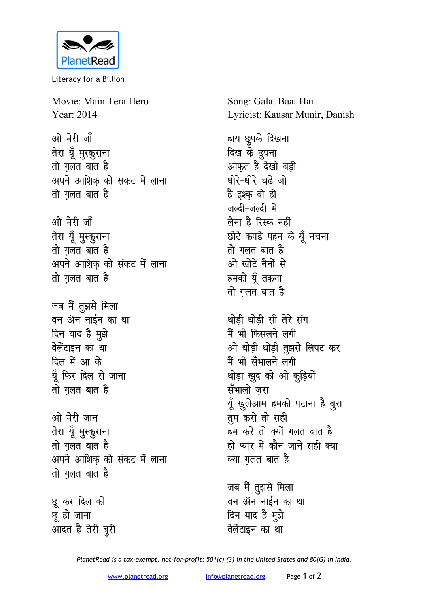

Literacy for a Billion

Movie: Main Tera Hero Year: 2014

ओ मेरी जाँ तेरा यूँ मुस्कुराना तो गलत बात है अपने आशिक को संकट में लाना तो गलत बात है

ओ मेरी जाँ तेरा यूँ मुस्कुराना तो गलत बात है अपने आशिक को संकट में लाना तो गलत बात है

जब मैं तुझसे मिला वन ॲन नाईन का था दिन याद है मुझे वेलेंटाइन का था दिल में आ के यूँ फिर दिल से जाना तो गलत बात है

ओ मेरी जान तेरा यूँ मुस्कुराना तो गलत बात है अपने आशिक को संकट में लाना तो गलत बात है

छू कर दिल को छू हो जाना आदत है तेरी बुरी Song: Galat Baat Hai Lyricist: Kausar Munir, Danish

हाय छुपके दिखना दिख के छुपना आफत है देखो बडी धीरे-धीरे चढ़े जो है इश्क वो ही जल्टी-जल्टी में लेना है रिस्क नहीं छोटे कपडे पहन के यूँ नचना तो गलत बात है ओ खोटे नैनों से हमको यूँ तकना तो ग़लत बात है

थोडी-थोडी सी तेरे संग मैं भी फिसलने लगी ओ थोडी-थोडी तुझसे लिपट कर मैं भी सँभालने लगी थोड़ा ख़ुद को ओ कुड़ियों सँभालो जरा यूँ खुलेआम हमको पटाना है बुरा तुम करो तो सही हम करे तो क्यों गलत बात है हो प्यार में कौन जाने सही क्या क्या ग़लत बात है

जब मैं तुझसे मिला वन ॲन नाईन का था दिन याद है मुझे वेलेंटाइन का था

PlanetRead is a tax-exempt, not-for-profit: 501(c) (3) in the United States and 80(G) in India.